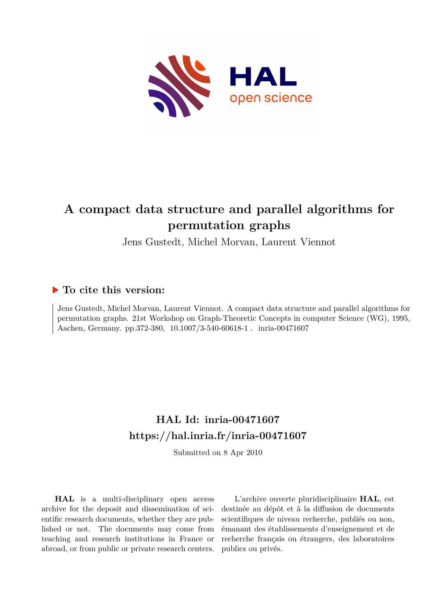

# **A compact data structure and parallel algorithms for permutation graphs**

Jens Gustedt, Michel Morvan, Laurent Viennot

# **To cite this version:**

Jens Gustedt, Michel Morvan, Laurent Viennot. A compact data structure and parallel algorithms for permutation graphs. 21st Workshop on Graph-Theoretic Concepts in computer Science (WG), 1995, Aachen, Germany. pp.372-380, 10.1007/3-540-60618-1. inria-00471607

# **HAL Id: inria-00471607 <https://hal.inria.fr/inria-00471607>**

Submitted on 8 Apr 2010

**HAL** is a multi-disciplinary open access archive for the deposit and dissemination of scientific research documents, whether they are published or not. The documents may come from teaching and research institutions in France or abroad, or from public or private research centers.

L'archive ouverte pluridisciplinaire **HAL**, est destinée au dépôt et à la diffusion de documents scientifiques de niveau recherche, publiés ou non, émanant des établissements d'enseignement et de recherche français ou étrangers, des laboratoires publics ou privés.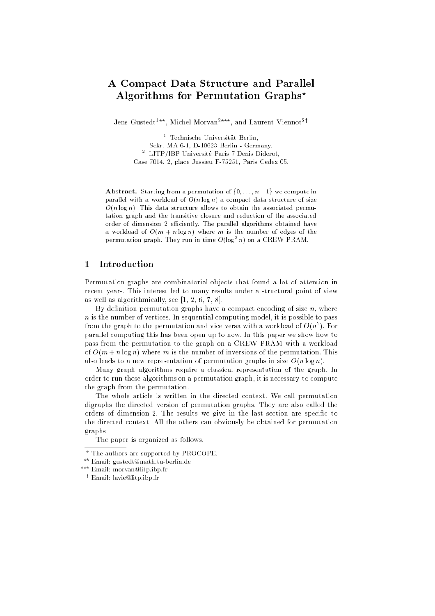# A Compact Data Structure and Parallel Algorithms for Permutation Graphs?

Jens Gustedt<sup>1\*\*</sup>, Michel Morvan<sup>2\*\*\*</sup>, and Laurent Viennot<sup>2†</sup>

<sup>1</sup> Technische Universitat Berlin, Sekr. MA 6-1, D-10623 Berlin - Germany. <sup>-</sup> LITP/IBP Universite Paris / Denis Diderot, Case 7014, 2, place Jussieu F-75251, Paris Cedex 05.

Abstract. Starting from a permutation of  $\{0, \ldots, n-1\}$  we compute in parallel with a workload of  $O(n \log n)$  a compact data structure of size  $O(n \log n)$ . This data structure allows to obtain the associated permutation graph and the transitive closure and reduction of the associated order of dimension 2 efficiently. The parallel algorithms obtained have a workload of  $O(m + n \log n)$  where m is the number of edges of the permutation graph. They run in time  $O(\log^+ n)$  on a UREW PRAM.

#### $\mathbf{1}$ **Introduction**

Permutation graphs are combinatorial objects that found a lot of attention in recent years. This interest led to many results under a structural point of view as well as algorithmically, see [1, 2, 6, 7, 8].

By definition permutation graphs have a compact encoding of size  $n$ , where  $n$  is the number of vertices. In sequential computing model, it is possible to pass from the graph to the permutation and vice versa with a workload of  $O(n^2)$ . For parallel computing this has been open up to now. In this paper we show how to pass from the permutation to the graph on a CREW PRAM with a workload of  $O(m + n \log n)$  where m is the number of inversions of the permutation. This also leads to a new representation of permutation graphs in size  $O(n \log n)$ .

Many graph algorithms require a classical representation of the graph. In order to run these algorithms on a permutation graph, it is necessary to compute the graph from the permutation.

The whole article is written in the directed context. We call permutation digraphs the directed version of permutation graphs. They are also called the orders of dimension 2. The results we give in the last section are specific to the directed context. All the others can obviously be obtained for permutation graphs.

The paper is organized as follows.

<sup>?</sup> The authors are supported by PROCOPE.

<sup>??</sup> Email: gustedt@math.tu-berlin.de

<sup>???</sup> Email: morvan@litp.ibp.fr

<sup>y</sup> Email: lavie@litp.ibp.fr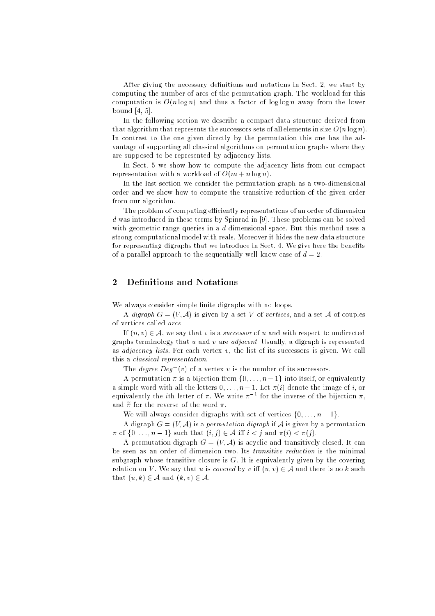After giving the necessary definitions and notations in Sect. 2, we start by computing the number of arcs of the permutation graph. The workload for this computation is  $O(n \log n)$  and thus a factor of log log n away from the lower bound [4, 5].

In the following section we describe a compact data structure derived from that algorithm that represents the successors sets of all elements in size  $O(n \log n)$ . In contrast to the one given directly by the permutation this one has the advantage of supporting all classical algorithms on permutation graphs where they are supposed to be represented by adjacency lists.

In Sect. 5 we show how to compute the adjacency lists from our compact representation with a workload of  $O(m + n \log n)$ .

In the last section we consider the permutation graph as a two-dimensional order and we show how to compute the transitive reduction of the given order from our algorithm.

The problem of computing efficiently representations of an order of dimension d was introduced in these terms by Spinrad in [9]. These problems can be solved with geometric range queries in a d-dimensional space. But this method uses a strong computational model with reals. Moreover it hides the new data structure for representing digraphs that we introduce in Sect. 4. We give here the benefits of a parallel approach to the sequentially well know case of  $d = 2$ .

#### **Definitions and Notations**  $\overline{2}$

We always consider simple finite digraphs with no loops.

A *digraph*  $G = (V, \mathcal{A})$  is given by a set V of vertices, and a set A of couples of vertices called arcs.

If  $(u, v) \in \mathcal{A}$ , we say that v is a successor of u and with respect to undirected graphs terminology that u and v are *adjacent*. Usually, a digraph is represented as *adjacency lists*. For each vertex  $v$ , the list of its successors is given. We call this a classical representation.

The *degree Deg*  $|v|$  of a vertex v is the number of its successors.

A permutation  $\pi$  is a bijection from  $\{0, \ldots, n-1\}$  into itself, or equivalently a simple word with all the letters  $0, \ldots, n-1$ . Let  $\pi(i)$  denote the image of i, or equivalently the  $i$ th letter of  $\pi$ . We write  $\pi$   $^{-1}$  for the inverse of the bijection  $\pi,$ and  $\widetilde{\pi}$  for the reverse of the word  $\pi$ .

We will always consider digraphs with set of vertices  $\{0, \ldots, n-1\}$ .

A digraph  $G = (V, \mathcal{A})$  is a *permutation digraph* if  $\mathcal{A}$  is given by a permutation  $\pi$  of  $\{0, \ldots, n-1\}$  such that  $(i, j) \in \mathcal{A}$  iff  $i < j$  and  $\pi(i) < \pi(j)$ .

A permutation digraph  $G = (V, A)$  is acyclic and transitively closed. It can be seen as an order of dimension two. Its transitive reduction is the minimal subgraph whose transitive closure is  $G$ . It is equivalently given by the covering relation on V. We say that u is covered by v iff  $(u, v) \in A$  and there is no k such that  $(u, k) \in \mathcal{A}$  and  $(k, v) \in \mathcal{A}$ .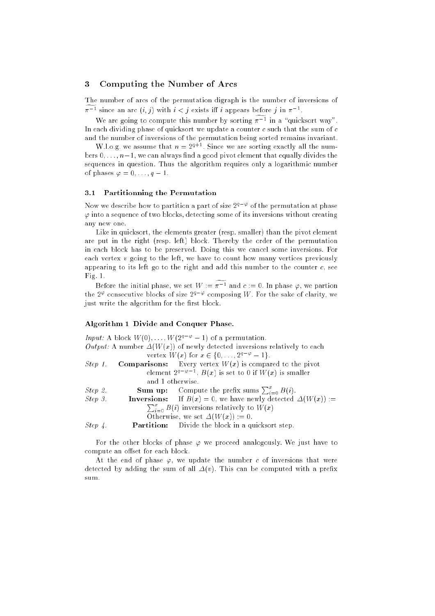#### 3 Computing the Number of Arcs

The number of arcs of the permutation digraph is the number of inversions of  $\pi$  – since an arc  $(i, j)$  with  $i < j$  exists in  $i$  appears before  $j$  in  $\pi$  –.

we are going to compute this number by sorting  $\pi$  – in a quicksort way. In each dividing phase of quicksort we update a counter  $c$  such that the sum of  $c$ and the number of inversions of the permutation being sorted remains invariant.

W.l.o.g. we assume that  $n = 2^{q+1}$ . Since we are sorting exactly all the numbers  $0, \ldots, n-1$ , we can always find a good pivot element that equally divides the sequences in question. Thus the algorithm requires only a logarithmic number of phases  $\varphi = 0, \ldots, q - 1$ .

#### 3.1 Partitionning the Permutation

Now we describe how to partition a part of size  $2^{q-\varphi}$  of the permutation at phase  $\varphi$  into a sequence of two blocks, detecting some of its inversions without creating any new one.

Like in quicksort, the elements greater (resp. smaller) than the pivot element are put in the right (resp. left) block. Thereby the order of the permutation in each block has to be preserved. Doing this we cancel some inversions. For each vertex  $v$  going to the left, we have to count how many vertices previously appearing to its left go to the right and add this number to the counter  $c$ , see Fig. 1.

Before the initial phase, we set  $W := \pi^{-1}$  and  $c := 0$ . In phase  $\varphi$ , we partion the 2<sup>\opp</sup> consecutive blocks of size  $2^{q-\varphi}$  composing W. For the sake of clarity, we just write the algorithm for the first block.

#### Algorithm 1 Divide and Conquer Phase.

|            |                  | Input: A block $W(0), \ldots, W(2^{q-\varphi}-1)$ of a permutation.             |
|------------|------------------|---------------------------------------------------------------------------------|
|            |                  | Output: A number $\Delta(W(x))$ of newly detected inversions relatively to each |
|            |                  | vertex $W(x)$ for $x \in \{0, , 2^{q-\varphi}-1\}$ .                            |
| Step 1.    |                  | <b>Comparisons:</b> Every vertex $W(x)$ is compared to the pivot                |
|            |                  | element $2^{q-\varphi-1}$ . $B(x)$ is set to 0 if $W(x)$ is smaller             |
|            | and 1 otherwise. |                                                                                 |
| Step 2.    |                  | <b>Sum up:</b> Compute the prefix sums $\sum_{i=0}^{x} B(i)$ .                  |
| Step 3.    |                  | <b>Inversions:</b> If $B(x) = 0$ , we have newly detected $\Delta(W(x)) :=$     |
|            |                  | $\sum_{i=0}^{x} B(i)$ inversions relatively to $W(x)$                           |
|            |                  | Otherwise, we set $\Delta(W(x)) := 0$ .                                         |
| $Step\ 4.$ |                  | Partition: Divide the block in a quicksort step.                                |
|            |                  |                                                                                 |

For the other blocks of phase  $\varphi$  we proceed analogously. We just have to compute an offset for each block.

At the end of phase  $\varphi$ , we update the number c of inversions that were detected by adding the sum of all  $\Delta(v)$ . This can be computed with a prefix sum.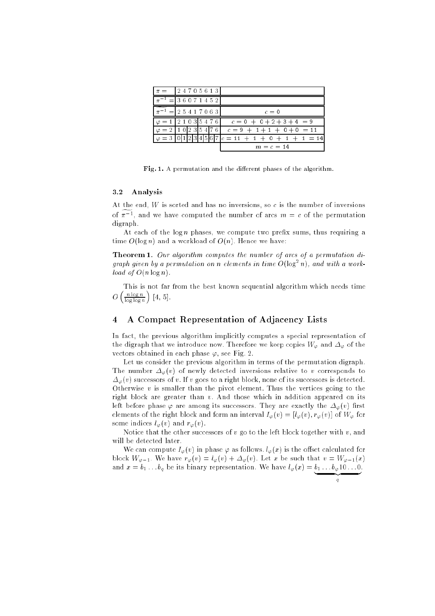| $\pi = \begin{bmatrix} 2 & 4 & 7 & 0 & 5 & 6 & 1 & 3 \end{bmatrix}$ |  |  |  |                                                                                                                     |
|---------------------------------------------------------------------|--|--|--|---------------------------------------------------------------------------------------------------------------------|
| $\pi^{-1}$ = 36071452                                               |  |  |  |                                                                                                                     |
| $\pi^{-1}$ = 2 5 4 1 7 0 6 3                                        |  |  |  | $c=0$                                                                                                               |
|                                                                     |  |  |  | $\varphi = 1 \left[ 2 \ 1 \ 0 \ 3 \right] 5 \ 4 \ 7 \ 6$ $\bar{c} = 0 + 0 + 2 + 3 + 4 = 9$                          |
|                                                                     |  |  |  | $\left[\varphi = 2 \mid 1 \mid 0 \mid 2 \mid 3 \mid 5 \mid 4 \mid 7 \mid 6 \mid c = 9 + 1 + 1 + 0 + 0 = 11 \right]$ |
|                                                                     |  |  |  | $\left[\varphi=3\right]011234567c=11+1+0+1+1=14$                                                                    |
|                                                                     |  |  |  | $m = c = 14$                                                                                                        |

Fig. 1. A permutation and the different phases of the algorithm.

#### 3.2 Analysis

At the end, W is sorted and has no inversions, so c is the number of inversions of  $\pi$   $\rightarrow$ , and we have computed the number of arcs  $m = c$  of the permutation digraph.

At each of the  $\log n$  phases, we compute two prefix sums, thus requiring a time  $O(\log n)$  and a workload of  $O(n)$ . Hence we have:

Theorem 1. Our algorithm computes the number of arcs of a permutation digraph given by a permutation on n elements in time  $O(\log^2 n)$ , and with a workload of  $O(n \log n)$ .

This is not far from the best known sequential algorithm which needs time  $\left(\frac{n \log n}{\log \log n}\right)$  $\sim$ [4, 5].

### 4 A Compact Representation of Adjacency Lists

In fact, the previous algorithm implicitly computes a special representation of the digraph that we introduce now. Therefore we keep copies  $W_{\varphi}$  and  $\Delta_{\varphi}$  of the vectors obtained in each phase  $\varphi$ , see Fig. 2.

Let us consider the previous algorithm in terms of the permutation digraph. The number  $\Delta_{\varphi}(v)$  of newly detected inversions relative to v corresponds to  $\Delta_{\varphi}(v)$  successors of v. If v goes to a right block, none of its successors is detected. Otherwise  $v$  is smaller than the pivot element. Thus the vertices going to the right block are greater than v. And those which in addition appeared on its left before phase  $\varphi$  are among its successors. They are exactly the  $\Delta_{\varphi}(v)$  first elements of the right block and form an interval  $I_{\varphi}(v) = [l_{\varphi}(v), r_{\varphi}(v)]$  of  $W_{\varphi}$  for some indices  $l_{\varphi}(v)$  and  $r_{\varphi}(v)$ .

Notice that the other successors of  $v$  go to the left block together with  $v$ , and will be detected later.

We can compute  $I_{\varphi}(v)$  in phase  $\varphi$  as follows.  $l_{\varphi}(x)$  is the offset calculated for block  $W_{\varphi-1}$ . We have  $r_{\varphi}(v) = l_{\varphi}(v) + \Delta_{\varphi}(v)$ . Let x be such that  $v = W_{\varphi-1}(x)$ and  $x = \sigma_1 \ldots \sigma_q$  be its binary representation. We have  $\iota_{\varphi}(x) = \underbrace{\sigma_1 \ldots \sigma_q}_{1 \ldots \ldots \sigma_1}$ 

$$
q_{\parallel} =
$$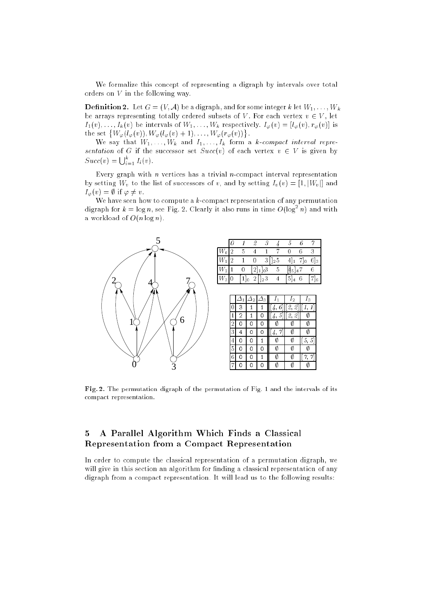We formalize this concept of representing a digraph by intervals over total orders on V in the following way.

**Definition 2.** Let  $G = (V, A)$  be a digraph, and for some integer k let  $W_1, \ldots, W_k$ be arrays representing totally ordered subsets of V. For each vertex  $v \in V$ , let  $I_1(v), \ldots, I_k(v)$  be intervals of  $W_1, \ldots, W_k$  respectively. If  $\varphi(v) = [\varphi(v), \varphi(v)]$  is the set  $\{W_{\varphi}(l_{\varphi}(v)), W_{\varphi}(l_{\varphi}(v)+1), \ldots, W_{\varphi}(r_{\varphi}(v))\}$ .

We say that W1; it is set what I1; it is in the same and it compact interval representation of G if the successor set  $Succ(v)$  of each vertex  $v \in V$  is given by  $Succ(v) = \bigcup_{i=1}^{k} I_i(v)$ .

Every graph with *n* vertices has a trivial *n*-compact interval representation by setting  $\mathcal{W}_\ell$  is the list of successors of v, and by setting IV (v) = [1; j,  $\ell$  (v) and  $\alpha$  $I_{\varphi}(v) = \emptyset$  if  $\varphi \neq v$ .

We have seen how to compute a  $k$ -compact representation of any permutation digraph for  $k = \log n$ , see Fig. 2. Clearly it also runs in time  $O(\log^2 n)$  and with a workload of  $O(n \log n)$ .



| $W_{\rm o}$  | 5 |                |                |          | 0           | 6.                      | З       |
|--------------|---|----------------|----------------|----------|-------------|-------------------------|---------|
| W,           |   | $\overline{0}$ | 3 <sub>1</sub> | $12^{5}$ |             | $[4]_1$ 7] <sub>0</sub> | $6]_3$  |
| $W_2\vert$ 1 | 0 | $[2]_1]_03$    |                |          | $[45]_47$   |                         |         |
| $\,W_3$      |   |                | $12^3$         |          | 5<br>$ 4 -$ | 6.                      | $[7]_6$ |

|                |   | $\overline{2}$ | 3           |   | 12     | 3       |
|----------------|---|----------------|-------------|---|--------|---------|
| Ö              | 3 |                |             | 6 | [2, 2] |         |
| $\mathbf 1$    | 2 |                | 0           |   | [2, 2] |         |
| $\overline{2}$ | 0 | 0              | 0           |   |        |         |
| 3              | 4 | 0              | 0           |   | Ø      |         |
| $\overline{4}$ | 0 | 0              |             | Ø | O)     | 5,<br>5 |
| 5              | Ω | ∩              | Λ           | Ø | V)     |         |
| 6              | 0 |                |             | Ø |        |         |
| 7              | 0 |                | $\mathbf 0$ |   |        |         |

Fig. 2. The permutation digraph of the permutation of Fig. 1 and the intervals of its compact representation.

## 5 A Parallel Algorithm Which Finds a Classical Representation from a Compact Representation

In order to compute the classical representation of a permutation digraph, we will give in this section an algorithm for finding a classical representation of any digraph from a compact representation. It will lead us to the following results: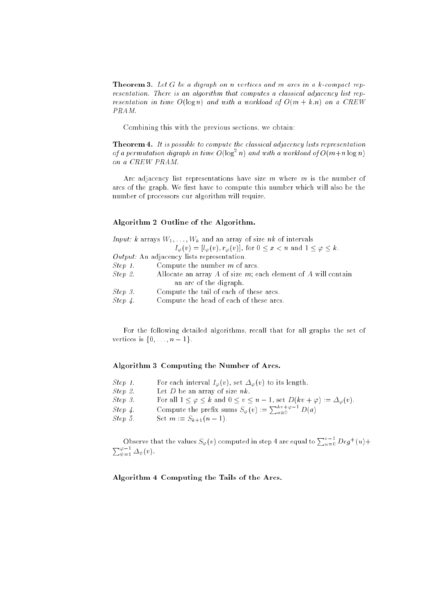**Theorem 3.** Let G be a digraph on n vertices and m arcs in a  $k$ -compact representation. There is an algorithm that computes a classical adjacency list representation in time  $O(\log n)$  and with a workload of  $O(m + k.n)$  on a CREW PRAM.

Combining this with the previous sections, we obtain:

Theorem 4. It is possible to compute the classical adjacency lists representation of a permutation digraph in time  $O(\log^2 n)$  and with a workload of  $O(m+n \log n)$ on a CREW PRAM.

Arc adjacency list representations have size  $m$  where  $m$  is the number of arcs of the graph. We first have to compute this number which will also be the number of processors our algorithm will require.

#### Algorithm 2 Outline of the Algorithm.

|         | <i>Input:</i> k arrays $W_1, \ldots, W_k$ and an array of size nk of intervals                        |
|---------|-------------------------------------------------------------------------------------------------------|
|         | $I_{\varphi}(v) = [l_{\varphi}(v), r_{\varphi}(v)],$ for $0 \leq x < n$ and $1 \leq \varphi \leq k$ . |
|         | $Output:$ An adjacency lists representation.                                                          |
| Step 1. | Compute the number $m$ of arcs.                                                                       |
| Step 2. | Allocate an array A of size $m$ ; each element of A will contain                                      |
|         | an arc of the digraph.                                                                                |
| Step 3. | Compute the tail of each of these arcs.                                                               |
| Step 4. | Compute the head of each of these arcs.                                                               |

For the following detailed algorithms, recall that for all graphs the set of vertices is  $\{0, \ldots, n-1\}$ .

#### Algorithm 3 Computing the Number of Arcs.

| Step 1. | For each interval $I_{\varphi}(v)$ , set $\Delta_{\varphi}(v)$ to its length.                            |
|---------|----------------------------------------------------------------------------------------------------------|
| Step 2. | Let D be an array of size $nk$ .                                                                         |
| Step 3. | For all $1 \leq \varphi \leq k$ and $0 \leq v \leq n-1$ , set $D(kv + \varphi) := \Delta_{\varphi}(v)$ . |
| Step 4. | Compute the prefix sums $S_{\varphi}(v) := \sum_{a=0}^{kv+\varphi-1} D(a)$                               |
| Step 5. | Set $m := S_{k+1}(n-1)$ .                                                                                |
|         |                                                                                                          |

Observe that the values  $S_{\varphi}(v)$  computed in step 4 are equal to  $\sum_{u=0}^{v-1} Deg^+(u) + \sum_{\psi=1}^{\varphi-1} \Delta_{\psi}(v)$ .

Algorithm 4 Computing the Tails of the Arcs.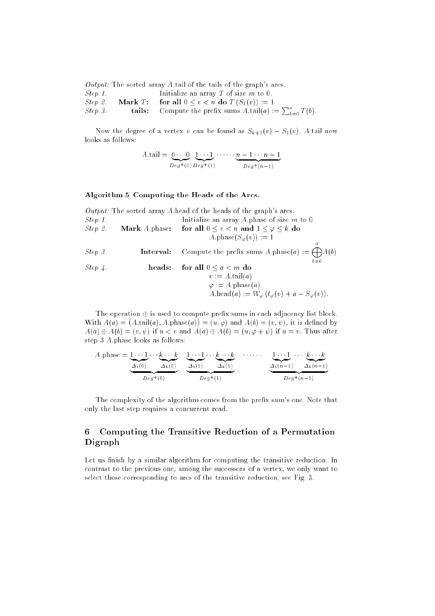|         |            | <i>Output:</i> The sorted array A tail of the tails of the graph's arcs.         |
|---------|------------|----------------------------------------------------------------------------------|
| Step 1. |            | Initialize an array T of size $m$ to 0.                                          |
| Step 2. | Mark $T$ : | for all $0 \leq v < n$ do $T(S_1(v)) := 1$                                       |
| Step 3. |            | tails: Compute the prefix sums $A \cdot \text{tail}(a) := \sum_{b=0}^{a} T(b)$ . |

Now the degree of a vertex v can be found as  $S_{k+1}(v) - S_1(v)$ . A tail now looks as follows:

$$
A \cdot \text{tail} = \underbrace{0 \cdots 0}_{Deg^+(0)} \underbrace{1 \cdots 1}_{Deg^+(1)} \cdots \underbrace{n-1 \cdots n-1}_{Deg^+(n-1)}
$$

#### Algorithm 5 Computing the Heads of the Arcs.

|            |                             | <i>Output:</i> The sorted array A head of the heads of the graph's arcs.            |
|------------|-----------------------------|-------------------------------------------------------------------------------------|
| Step 1.    |                             | Initialize an array A phase of size $m$ to 0.                                       |
| Step 2.    | <b>Mark</b> <i>A</i> phase: | for all $0 \le v < n$ and $1 \le \varphi \le k$ do                                  |
|            |                             | $A.\text{phase}(S_{\varphi}(v)) := 1$                                               |
| Step 3.    | Interval:                   | $\boldsymbol{a}$<br>Compute the prefix sums A.phase(a) := $\bigoplus A(b)$<br>$b=0$ |
| $Step\,4.$ | heads:                      | for all $0 \le a \le m$ do                                                          |
|            |                             | $v := A \cdot \text{tail}(a)$                                                       |
|            |                             | $\varphi := A.\text{phase}(a)$                                                      |
|            |                             | $A \cdot \text{head}(a) := W_{\varphi} (l_{\varphi}(v) + a - S_{\varphi}(v)).$      |

The operation  $\oplus$  is used to compute prefix sums in each adjacency list block. With  $A(a) = (A \cdot \text{tail}(a), A \cdot \text{phase}(a))$  $) = (u, \varphi)$  and  $A(b) = (v, \psi)$ , it is defined by  $A(a) \oplus A(b) = (v, \psi)$  if  $u < v$  and  $A(a) \oplus A(b) = (u, \varphi + \psi)$  if  $u = v$ . Thus after step 3 A:phase looks as follows:

A phase = 
$$
\underbrace{1 \cdots 1}_{\Delta_1(0)} \cdots \underbrace{k \cdots k}_{\Delta_k(0)} \underbrace{1 \cdots 1}_{\Delta_k(1)} \cdots \underbrace{k \cdots k}_{\Delta_k(1)} \cdots \underbrace{1 \cdots 1}_{\Delta_k(n-1)} \cdots \underbrace{k \cdots k}_{\Delta_k(n-1)}.
$$

The complexity of the algorithm comes from the prefix sum's one. Note that only the last step requires a concurrent read.

## 6 Computing the Transitive Reduction of a Permutation Digraph

Let us finish by a similar algorithm for computing the transitive reduction. In contrast to the previous one, among the successors of a vertex, we only want to select those corresponding to arcs of the transitive reduction, see Fig. 3.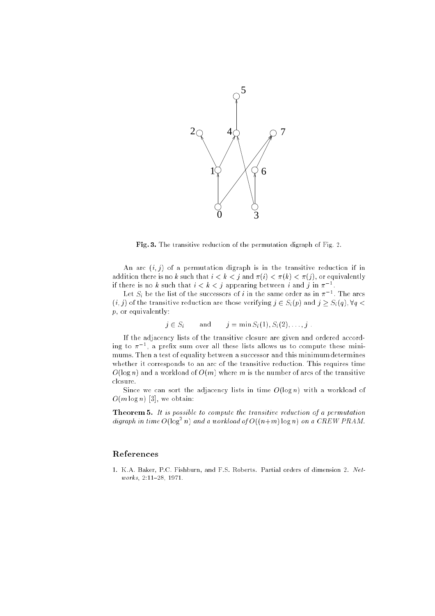

Fig. 3. The transitive reduction of the permutation digraph of Fig. 2.

An arc  $(i, j)$  of a permutation digraph is in the transitive reduction if in addition there is no k such that  $i < k < j$  and  $\pi(i) < \pi(k) < \pi(j)$ , or equivalently If there is no  $\kappa$  such that  $i < \kappa < j$  appearing between  $i$  and  $j$  in  $\pi^{-1}$ .

Let  $S_i$  be the list of the successors of  $i$  in the same order as in  $\pi^{-}$  . The arcs (ii) of the transitive reduction are the the the site  $j$  and  $j$   $\in$   $S$  (if  $j$  and  $j$   $\in$   $S$  (q);  $S$  (q);  $S$ p, or equivalently:

$$
j \in S_i \quad \text{and} \quad j = \min S_i(1), S_i(2), \ldots, j.
$$

If the adjacency lists of the transitive closure are given and ordered according to  $\pi$  -, a preitx sum over all these fists allows us to compute these minimums. Then a test of equality between a successor and this minimum determines whether it corresponds to an arc of the transitive reduction. This requires time  $O(\log n)$  and a workload of  $O(m)$  where m is the number of arcs of the transitive closure.

Since we can sort the adjacency lists in time  $O(\log n)$  with a workload of  $O(m \log n)$  [3], we obtain:

Theorem 5. It is possible to compute the transitive reduction of a permutation digraph in time  $O(\log^2 n)$  and a workload of  $O((n+m) \log n)$  on a CREW PRAM.

### References

1. K.A. Baker, P.C. Fishburn, and F.S. Roberts. Partial orders of dimension 2. Net $works, 2:11-28, 1971.$